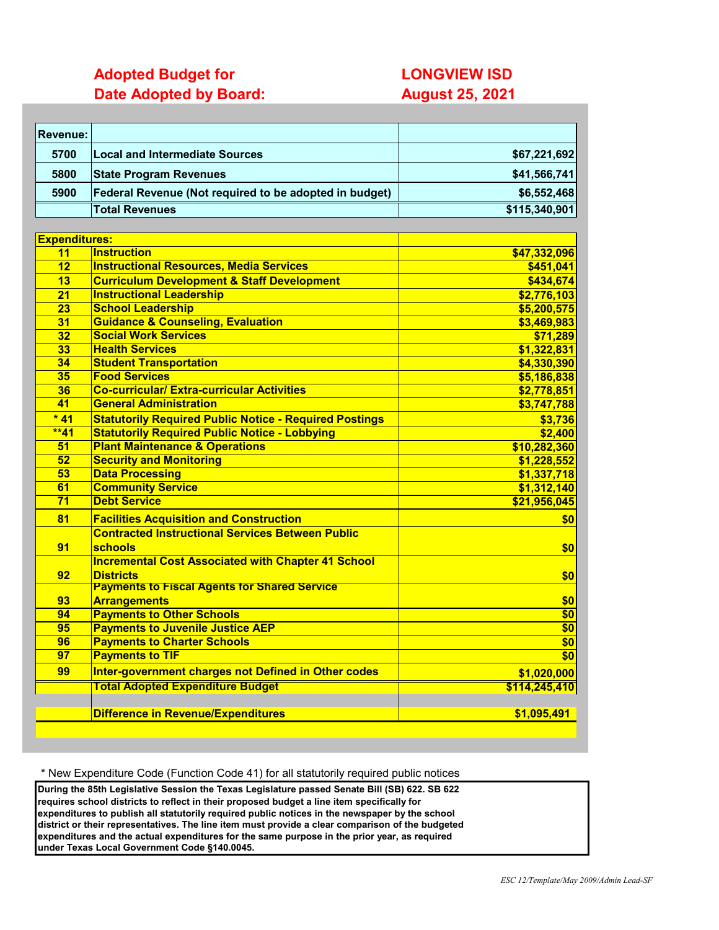# **Adopted Budget for LONGVIEW ISD**

**Date Adopted by Board: August 25, 2021** 

| 5700<br><b>Local and Intermediate Sources</b><br>5800<br><b>State Program Revenues</b><br>5900<br>Federal Revenue (Not required to be adopted in budget)<br><b>Total Revenues</b><br><b>Expenditures:</b><br><b>Instruction</b><br>11<br><b>Instructional Resources, Media Services</b><br>12<br><b>Curriculum Development &amp; Staff Development</b><br>13<br><b>Instructional Leadership</b><br>21<br><b>School Leadership</b><br>23<br><b>Guidance &amp; Counseling, Evaluation</b><br>31<br><b>Social Work Services</b><br>32<br><b>Health Services</b><br>33<br>34<br><b>Student Transportation</b><br><b>Food Services</b><br>35<br><b>Co-curricular/ Extra-curricular Activities</b><br>36<br><b>General Administration</b><br>41<br>$*41$<br><b>Statutorily Required Public Notice - Required Postings</b><br>$*41$<br><b>Statutorily Required Public Notice - Lobbying</b><br><b>Plant Maintenance &amp; Operations</b><br>51<br><b>Security and Monitoring</b><br>52<br><b>Data Processing</b><br>53<br><b>Community Service</b><br>61<br><b>Debt Service</b><br>71<br>81<br><b>Facilities Acquisition and Construction</b><br><b>Contracted Instructional Services Between Public</b><br>91<br>schools<br><b>Incremental Cost Associated with Chapter 41 School</b><br><b>Districts</b><br>92<br><b>Payments to Fiscal Agents for Shared Service</b> |                          |
|------------------------------------------------------------------------------------------------------------------------------------------------------------------------------------------------------------------------------------------------------------------------------------------------------------------------------------------------------------------------------------------------------------------------------------------------------------------------------------------------------------------------------------------------------------------------------------------------------------------------------------------------------------------------------------------------------------------------------------------------------------------------------------------------------------------------------------------------------------------------------------------------------------------------------------------------------------------------------------------------------------------------------------------------------------------------------------------------------------------------------------------------------------------------------------------------------------------------------------------------------------------------------------------------------------------------------------------------------------------|--------------------------|
|                                                                                                                                                                                                                                                                                                                                                                                                                                                                                                                                                                                                                                                                                                                                                                                                                                                                                                                                                                                                                                                                                                                                                                                                                                                                                                                                                                  | \$67,221,692             |
|                                                                                                                                                                                                                                                                                                                                                                                                                                                                                                                                                                                                                                                                                                                                                                                                                                                                                                                                                                                                                                                                                                                                                                                                                                                                                                                                                                  | \$41,566,741             |
|                                                                                                                                                                                                                                                                                                                                                                                                                                                                                                                                                                                                                                                                                                                                                                                                                                                                                                                                                                                                                                                                                                                                                                                                                                                                                                                                                                  | \$6,552,468              |
|                                                                                                                                                                                                                                                                                                                                                                                                                                                                                                                                                                                                                                                                                                                                                                                                                                                                                                                                                                                                                                                                                                                                                                                                                                                                                                                                                                  | \$115,340,901            |
|                                                                                                                                                                                                                                                                                                                                                                                                                                                                                                                                                                                                                                                                                                                                                                                                                                                                                                                                                                                                                                                                                                                                                                                                                                                                                                                                                                  |                          |
|                                                                                                                                                                                                                                                                                                                                                                                                                                                                                                                                                                                                                                                                                                                                                                                                                                                                                                                                                                                                                                                                                                                                                                                                                                                                                                                                                                  |                          |
|                                                                                                                                                                                                                                                                                                                                                                                                                                                                                                                                                                                                                                                                                                                                                                                                                                                                                                                                                                                                                                                                                                                                                                                                                                                                                                                                                                  | \$47,332,096             |
|                                                                                                                                                                                                                                                                                                                                                                                                                                                                                                                                                                                                                                                                                                                                                                                                                                                                                                                                                                                                                                                                                                                                                                                                                                                                                                                                                                  | \$451,041                |
|                                                                                                                                                                                                                                                                                                                                                                                                                                                                                                                                                                                                                                                                                                                                                                                                                                                                                                                                                                                                                                                                                                                                                                                                                                                                                                                                                                  | \$434,674                |
|                                                                                                                                                                                                                                                                                                                                                                                                                                                                                                                                                                                                                                                                                                                                                                                                                                                                                                                                                                                                                                                                                                                                                                                                                                                                                                                                                                  | \$2,776,103              |
|                                                                                                                                                                                                                                                                                                                                                                                                                                                                                                                                                                                                                                                                                                                                                                                                                                                                                                                                                                                                                                                                                                                                                                                                                                                                                                                                                                  | \$5,200,575              |
|                                                                                                                                                                                                                                                                                                                                                                                                                                                                                                                                                                                                                                                                                                                                                                                                                                                                                                                                                                                                                                                                                                                                                                                                                                                                                                                                                                  | \$3,469,983              |
|                                                                                                                                                                                                                                                                                                                                                                                                                                                                                                                                                                                                                                                                                                                                                                                                                                                                                                                                                                                                                                                                                                                                                                                                                                                                                                                                                                  | \$71,289                 |
|                                                                                                                                                                                                                                                                                                                                                                                                                                                                                                                                                                                                                                                                                                                                                                                                                                                                                                                                                                                                                                                                                                                                                                                                                                                                                                                                                                  | \$1,322,831              |
|                                                                                                                                                                                                                                                                                                                                                                                                                                                                                                                                                                                                                                                                                                                                                                                                                                                                                                                                                                                                                                                                                                                                                                                                                                                                                                                                                                  | \$4,330,390              |
|                                                                                                                                                                                                                                                                                                                                                                                                                                                                                                                                                                                                                                                                                                                                                                                                                                                                                                                                                                                                                                                                                                                                                                                                                                                                                                                                                                  | \$5,186,838              |
|                                                                                                                                                                                                                                                                                                                                                                                                                                                                                                                                                                                                                                                                                                                                                                                                                                                                                                                                                                                                                                                                                                                                                                                                                                                                                                                                                                  | \$2,778,851              |
|                                                                                                                                                                                                                                                                                                                                                                                                                                                                                                                                                                                                                                                                                                                                                                                                                                                                                                                                                                                                                                                                                                                                                                                                                                                                                                                                                                  | \$3,747,788              |
|                                                                                                                                                                                                                                                                                                                                                                                                                                                                                                                                                                                                                                                                                                                                                                                                                                                                                                                                                                                                                                                                                                                                                                                                                                                                                                                                                                  | \$3,736                  |
|                                                                                                                                                                                                                                                                                                                                                                                                                                                                                                                                                                                                                                                                                                                                                                                                                                                                                                                                                                                                                                                                                                                                                                                                                                                                                                                                                                  | \$2,400                  |
|                                                                                                                                                                                                                                                                                                                                                                                                                                                                                                                                                                                                                                                                                                                                                                                                                                                                                                                                                                                                                                                                                                                                                                                                                                                                                                                                                                  | \$10,282,360             |
|                                                                                                                                                                                                                                                                                                                                                                                                                                                                                                                                                                                                                                                                                                                                                                                                                                                                                                                                                                                                                                                                                                                                                                                                                                                                                                                                                                  | \$1,228,552              |
|                                                                                                                                                                                                                                                                                                                                                                                                                                                                                                                                                                                                                                                                                                                                                                                                                                                                                                                                                                                                                                                                                                                                                                                                                                                                                                                                                                  | \$1,337,718              |
|                                                                                                                                                                                                                                                                                                                                                                                                                                                                                                                                                                                                                                                                                                                                                                                                                                                                                                                                                                                                                                                                                                                                                                                                                                                                                                                                                                  | \$1,312,140              |
|                                                                                                                                                                                                                                                                                                                                                                                                                                                                                                                                                                                                                                                                                                                                                                                                                                                                                                                                                                                                                                                                                                                                                                                                                                                                                                                                                                  | \$21,956,045             |
|                                                                                                                                                                                                                                                                                                                                                                                                                                                                                                                                                                                                                                                                                                                                                                                                                                                                                                                                                                                                                                                                                                                                                                                                                                                                                                                                                                  | \$0                      |
|                                                                                                                                                                                                                                                                                                                                                                                                                                                                                                                                                                                                                                                                                                                                                                                                                                                                                                                                                                                                                                                                                                                                                                                                                                                                                                                                                                  |                          |
|                                                                                                                                                                                                                                                                                                                                                                                                                                                                                                                                                                                                                                                                                                                                                                                                                                                                                                                                                                                                                                                                                                                                                                                                                                                                                                                                                                  | \$0                      |
|                                                                                                                                                                                                                                                                                                                                                                                                                                                                                                                                                                                                                                                                                                                                                                                                                                                                                                                                                                                                                                                                                                                                                                                                                                                                                                                                                                  |                          |
|                                                                                                                                                                                                                                                                                                                                                                                                                                                                                                                                                                                                                                                                                                                                                                                                                                                                                                                                                                                                                                                                                                                                                                                                                                                                                                                                                                  | \$0                      |
|                                                                                                                                                                                                                                                                                                                                                                                                                                                                                                                                                                                                                                                                                                                                                                                                                                                                                                                                                                                                                                                                                                                                                                                                                                                                                                                                                                  |                          |
| <b>Arrangements</b><br>93                                                                                                                                                                                                                                                                                                                                                                                                                                                                                                                                                                                                                                                                                                                                                                                                                                                                                                                                                                                                                                                                                                                                                                                                                                                                                                                                        | \$0                      |
| <b>Payments to Other Schools</b><br>94                                                                                                                                                                                                                                                                                                                                                                                                                                                                                                                                                                                                                                                                                                                                                                                                                                                                                                                                                                                                                                                                                                                                                                                                                                                                                                                           | \$0                      |
| <b>Payments to Juvenile Justice AEP</b><br>95                                                                                                                                                                                                                                                                                                                                                                                                                                                                                                                                                                                                                                                                                                                                                                                                                                                                                                                                                                                                                                                                                                                                                                                                                                                                                                                    | \$0                      |
| <b>Payments to Charter Schools</b><br>96                                                                                                                                                                                                                                                                                                                                                                                                                                                                                                                                                                                                                                                                                                                                                                                                                                                                                                                                                                                                                                                                                                                                                                                                                                                                                                                         | $\overline{\textbf{S0}}$ |
| 97<br><b>Payments to TIF</b>                                                                                                                                                                                                                                                                                                                                                                                                                                                                                                                                                                                                                                                                                                                                                                                                                                                                                                                                                                                                                                                                                                                                                                                                                                                                                                                                     | $\frac{1}{6}$            |
| Inter-government charges not Defined in Other codes<br>99                                                                                                                                                                                                                                                                                                                                                                                                                                                                                                                                                                                                                                                                                                                                                                                                                                                                                                                                                                                                                                                                                                                                                                                                                                                                                                        | \$1,020,000              |
| <b>Total Adopted Expenditure Budget</b>                                                                                                                                                                                                                                                                                                                                                                                                                                                                                                                                                                                                                                                                                                                                                                                                                                                                                                                                                                                                                                                                                                                                                                                                                                                                                                                          | \$114,245,410            |
|                                                                                                                                                                                                                                                                                                                                                                                                                                                                                                                                                                                                                                                                                                                                                                                                                                                                                                                                                                                                                                                                                                                                                                                                                                                                                                                                                                  |                          |
| <b>Difference in Revenue/Expenditures</b>                                                                                                                                                                                                                                                                                                                                                                                                                                                                                                                                                                                                                                                                                                                                                                                                                                                                                                                                                                                                                                                                                                                                                                                                                                                                                                                        | \$1,095,491              |

\* New Expenditure Code (Function Code 41) for all statutorily required public notices

**During the 85th Legislative Session the Texas Legislature passed Senate Bill (SB) 622. SB 622 requires school districts to reflect in their proposed budget a line item specifically for expenditures to publish all statutorily required public notices in the newspaper by the school district or their representatives. The line item must provide a clear comparison of the budgeted expenditures and the actual expenditures for the same purpose in the prior year, as required under Texas Local Government Code §140.0045.**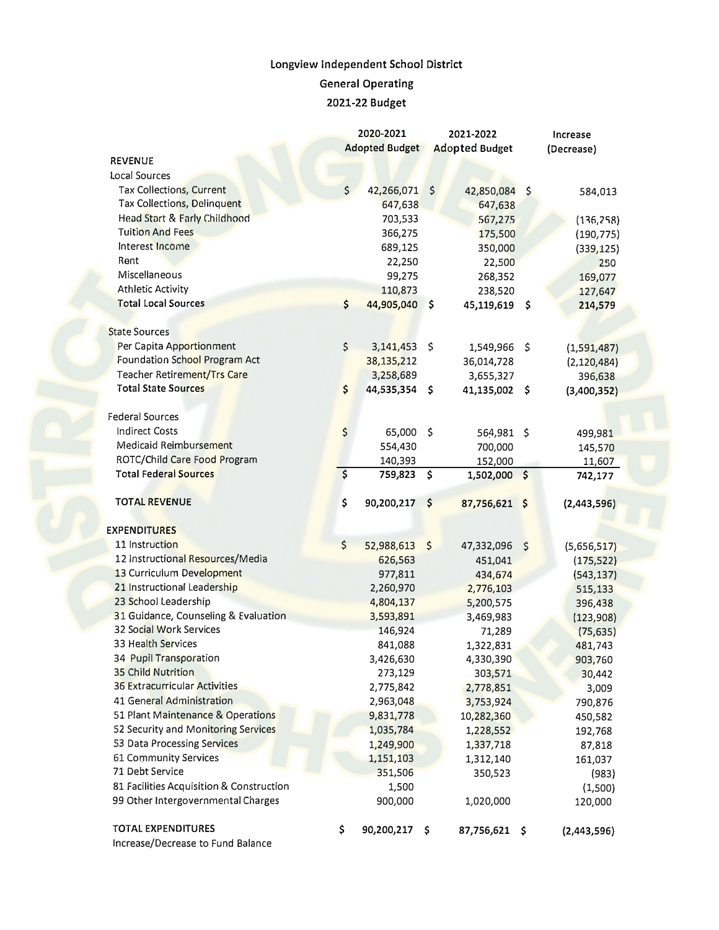## **Longview Independent School District General Operating**

**2021-22 Budget** 

|                                          |                                 | 2020-2021                                      | 2021-2022           |                                                       |    | Increase      |  |  |
|------------------------------------------|---------------------------------|------------------------------------------------|---------------------|-------------------------------------------------------|----|---------------|--|--|
|                                          |                                 | <b>Adopted Budget</b><br><b>Adopted Budget</b> |                     |                                                       |    | (Decrease)    |  |  |
| <b>REVENUE</b>                           |                                 |                                                |                     |                                                       |    |               |  |  |
| Local Sources                            |                                 |                                                |                     |                                                       |    |               |  |  |
| Tax Collections, Current                 | $\zeta$                         | 42,266,071                                     | \$                  | 42,850,084 \$                                         |    | 584,013       |  |  |
| Tax Collections, Delinquent              |                                 | 647,638                                        |                     | 647,638                                               |    |               |  |  |
| Head Start & Farly Childhood             |                                 | 703,533                                        |                     | 567,275                                               |    | (136, 258)    |  |  |
| <b>Tuition And Fees</b>                  |                                 | 366,275                                        |                     | 175,500                                               |    | (190, 775)    |  |  |
| Interest Income                          |                                 | 689,125                                        |                     | 350,000<br>22,500<br>268,352<br>238,520<br>45,119,619 |    | (339, 125)    |  |  |
| Rent                                     |                                 | 22,250                                         |                     |                                                       |    | 250           |  |  |
| Miscellaneous                            |                                 | 99,275                                         |                     |                                                       |    | 169,077       |  |  |
| <b>Athletic Activity</b>                 |                                 | 110,873                                        |                     |                                                       |    | 127,647       |  |  |
| <b>Total Local Sources</b>               | \$                              | 44,905,040                                     | $\hat{\mathbf{v}}$  |                                                       |    | 214,579       |  |  |
| <b>State Sources</b>                     |                                 |                                                |                     |                                                       |    |               |  |  |
| Per Capita Apportionment                 | \$                              | 3,141,453                                      | $\ddot{\mathsf{s}}$ | 1,549,966 \$                                          |    | (1,591,487)   |  |  |
| Foundation School Program Act            |                                 | 38,135,212                                     |                     | 36,014,728                                            |    | (2, 120, 484) |  |  |
| Teacher Retirement/Trs Care              |                                 | 3,258,689                                      |                     | 3,655,327                                             |    | 396,638       |  |  |
| <b>Total State Sources</b>               | \$                              | 44,535,354                                     | - \$                | 41,135,002 \$                                         |    | (3,400,352)   |  |  |
|                                          |                                 |                                                |                     |                                                       |    |               |  |  |
| <b>Federal Sources</b>                   |                                 |                                                |                     |                                                       |    |               |  |  |
| <b>Indirect Costs</b>                    | \$                              | 65,000                                         | \$                  | 564,981 \$                                            |    | 499,981       |  |  |
| Medicaid Reimbursement                   |                                 | 554,430                                        |                     | 700,000                                               |    | 145,570       |  |  |
| ROTC/Child Care Food Program             |                                 | 140,393                                        |                     | 152,000                                               |    | 11,607        |  |  |
| <b>Total Federal Sources</b>             | $\overline{\boldsymbol{\zeta}}$ | 759,823                                        | \$                  | 1,502,000 \$                                          |    | 742,177       |  |  |
|                                          |                                 |                                                |                     |                                                       |    |               |  |  |
| <b>TOTAL REVENUE</b>                     | \$                              | 90,200,217                                     | \$                  | 87,756,621 \$                                         |    | (2,443,596)   |  |  |
|                                          |                                 |                                                |                     |                                                       |    |               |  |  |
| <b>EXPENDITURES</b>                      |                                 |                                                |                     |                                                       |    |               |  |  |
| 11 Instruction                           | $\zeta$                         | 52,988,613 \$                                  |                     | 47,332,096                                            | \$ | (5,656,517)   |  |  |
| 12 Instructional Resources/Media         |                                 | 626,563                                        |                     | 451,041                                               |    | (175, 522)    |  |  |
| 13 Curriculum Development                |                                 | 977,811                                        |                     | 434,674                                               |    | (543, 137)    |  |  |
| 21 Instructional Leadership              |                                 | 2,260,970                                      |                     | 2,776,103                                             |    | 515,133       |  |  |
| 23 School Leadership                     |                                 | 4,804,137                                      |                     | 5,200,575                                             |    | 396,438       |  |  |
| 31 Guidance, Counseling & Evaluation     |                                 | 3,593,891                                      |                     | 3,469,983                                             |    | (123,908)     |  |  |
| 32 Social Work Services                  |                                 | 146,924                                        |                     | 71,289                                                |    | (75, 635)     |  |  |
| 33 Health Services                       |                                 | 841,088                                        |                     | 1,322,831                                             |    | 481,743       |  |  |
| 34 Pupil Transporation                   |                                 | 3,426,630                                      |                     | 4,330,390                                             |    | 903,760       |  |  |
| 35 Child Nutrition                       |                                 | 273,129                                        |                     | 303,571                                               |    | 30,442        |  |  |
| <b>36 Extracurricular Activities</b>     |                                 | 2,775,842                                      |                     | 2,778,851                                             |    | 3,009         |  |  |
| 41 General Administration                |                                 | 2,963,048                                      |                     | 3,753,924                                             |    | 790,876       |  |  |
| 51 Plant Maintenance & Operations        |                                 | 9,831,778                                      |                     | 10,282,360                                            |    | 450,582       |  |  |
| 52 Security and Monitoring Services      |                                 | 1,035,784                                      |                     | 1,228,552                                             |    | 192,768       |  |  |
| 53 Data Processing Services              |                                 | 1,249,900                                      |                     | 1,337,718                                             |    | 87,818        |  |  |
| 61 Community Services                    |                                 | 1,151,103                                      |                     | 1,312,140                                             |    | 161,037       |  |  |
| 71 Debt Service                          |                                 | 351,506                                        |                     | 350,523                                               |    | (983)         |  |  |
| 81 Facilities Acquisition & Construction |                                 | 1,500                                          |                     |                                                       |    | (1,500)       |  |  |
| 99 Other Intergovernmental Charges       |                                 | 900,000                                        |                     | 1,020,000                                             |    | 120,000       |  |  |
|                                          |                                 |                                                |                     |                                                       |    |               |  |  |
| TOTAL EXPENDITURES                       | \$                              | 90,200,217                                     | \$                  | 87,756,621 \$                                         |    | (2,443,596)   |  |  |

Increase/Decrease to Fund Balance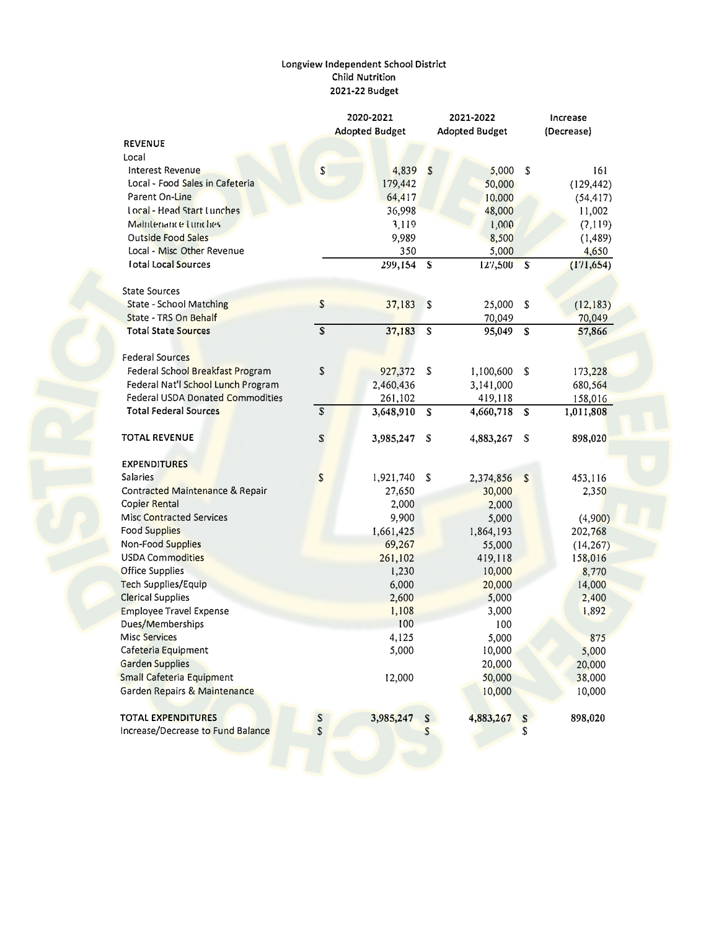## Longview Independent School District<br>Child Nutrition 2021-22 Budget

|                                    |                | 2020-2021             |   | 2021-2022             | Increase     |            |  |
|------------------------------------|----------------|-----------------------|---|-----------------------|--------------|------------|--|
|                                    |                | <b>Adopted Budget</b> |   | <b>Adopted Budget</b> | (Decrease)   |            |  |
| <b>REVENUE</b>                     |                |                       |   |                       |              |            |  |
| Local                              |                |                       |   |                       |              |            |  |
| Interest Revenue                   | $\mathsf{S}$   | 4,839                 | S | 5,000                 | S            | 161        |  |
| Local - Food Sales in Cafeteria    |                | 179,442               |   | 50,000                |              | (129, 442) |  |
| Parent On-Line                     |                | 64,417                |   | 10,000                |              | (54, 417)  |  |
| Local - Head Start Lunches         |                | 36,998                |   | 48,000                |              | 11,002     |  |
| Maintenance Lunches                |                | 3,119                 |   | 1,000                 |              | (7,119)    |  |
| <b>Outside Food Sales</b>          |                | 9,989                 |   | 8,500                 |              | (1, 489)   |  |
| Local - Misc Other Revenue         |                | 350                   |   | 5,000                 |              | 4,650      |  |
| <b>I</b> otal Local Sources        |                | 299,154 S             |   | 127,500               | $\mathbf{s}$ | (171, 654) |  |
| <b>State Sources</b>               |                |                       |   |                       |              |            |  |
| <b>State - School Matching</b>     | \$             | 37,183                | S | 25,000                | S            | (12, 183)  |  |
| State - TRS On Behalf              |                |                       |   | 70,049                |              | 70,049     |  |
| <b>Total State Sources</b>         | $\overline{s}$ | 37,183                | S | 95,049                | $\mathsf{s}$ | 57,866     |  |
| <b>Federal Sources</b>             |                |                       |   |                       |              |            |  |
| Federal School Breakfast Program   | \$             | 927,372               | S | 1,100,600             | \$           | 173,228    |  |
| Federal Nat'l School Lunch Program |                | 2,460,436             |   | 3,141,000             |              | 680,564    |  |
| Federal USDA Donated Commodities   |                | 261,102               |   | 419,118               |              | 158,016    |  |
| <b>Total Federal Sources</b>       | $\mathbb{S}$   | 3,648,910             | S | 4,660,718             | S            | 1,011,808  |  |
| <b>TOTAL REVENUE</b>               | S              | 3,985,247             | S | 4,883,267             | S            | 898,020    |  |
| <b>EXPENDITURES</b>                |                |                       |   |                       |              |            |  |
| <b>Salaries</b>                    | $\mathsf S$    | 1,921,740             | S | 2,374,856             | $\mathbf S$  | 453,116    |  |
| Contracted Maintenance & Repair    |                | 27,650                |   | 30,000                |              | 2,350      |  |
| Copier Rental                      |                | 2,000                 |   | 2,000                 |              |            |  |
| <b>Misc Contracted Services</b>    |                | 9,900                 |   | 5,000                 |              | (4,900)    |  |
| <b>Food Supplies</b>               |                | 1,661,425             |   | 1,864,193             |              | 202,768    |  |
| Non-Food Supplies                  |                | 69,267                |   | 55,000                |              | (14, 267)  |  |
| <b>USDA Commodities</b>            |                | 261,102               |   | 419,118               |              | 158,016    |  |
| <b>Office Supplies</b>             |                | 1,230                 |   | 10,000                |              | 8,770      |  |
| Tech Supplies/Equip                |                | 6,000                 |   | 20,000                |              | 14,000     |  |
| <b>Clerical Supplies</b>           |                | 2,600                 |   | 5,000                 |              | 2,400      |  |
| Employee Travel Expense            |                | 1,108                 |   | 3,000                 |              | 1,892      |  |
| Dues/Memberships                   |                | 100                   |   | 100                   |              |            |  |
| <b>Misc Services</b>               |                | 4,125                 |   | 5,000                 |              | 875        |  |
| Cafeteria Equipment                |                | 5,000                 |   | 10,000                |              | 5,000      |  |
| Garden Supplies                    |                |                       |   | 20,000                |              | 20,000     |  |
| Small Cafeteria Equipment          |                | 12,000                |   | 50,000                |              | 38,000     |  |
| Garden Repairs & Maintenance       |                |                       |   | 10,000                |              | 10,000     |  |
| <b>TOTAL EXPENDITURES</b>          | S              | 3,985,247             | S | 4,883,267             | S            | 898,020    |  |
| Increase/Decrease to Fund Balance  | \$             |                       | S |                       | \$           |            |  |